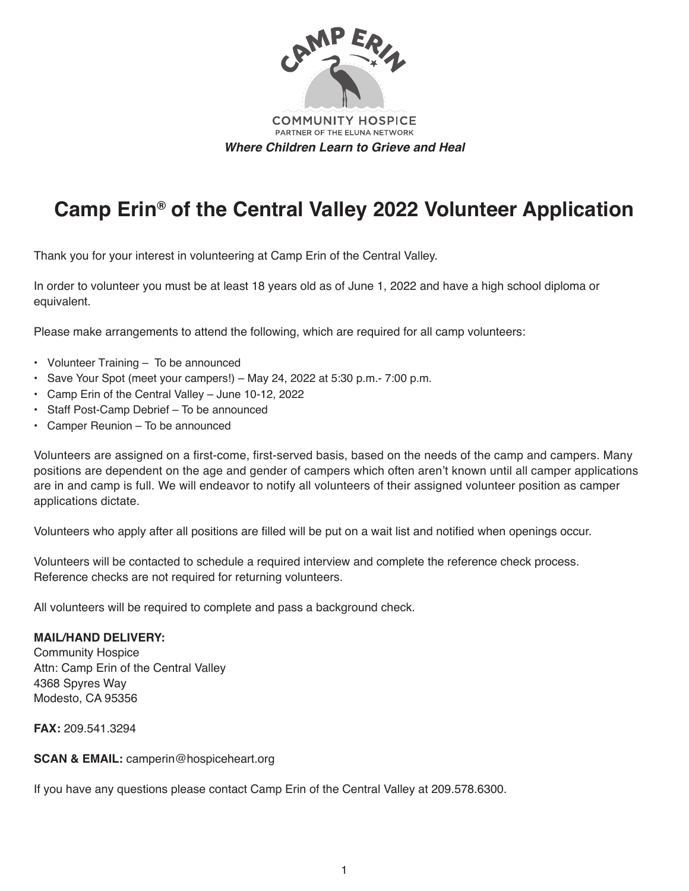

# **Camp Erin® of the Central Valley 2022 Volunteer Application**

Thank you for your interest in volunteering at Camp Erin of the Central Valley.

In order to volunteer you must be at least 18 years old as of June 1, 2022 and have a high school diploma or equivalent.

Please make arrangements to attend the following, which are required for all camp volunteers:

- Volunteer Training To be announced
- Save Your Spot (meet your campers!) May 24, 2022 at 5:30 p.m.- 7:00 p.m.
- Camp Erin of the Central Valley June 10-12, 2022
- Staff Post-Camp Debrief To be announced
- Camper Reunion To be announced

Volunteers are assigned on a first-come, first-served basis, based on the needs of the camp and campers. Many positions are dependent on the age and gender of campers which often aren't known until all camper applications are in and camp is full. We will endeavor to notify all volunteers of their assigned volunteer position as camper applications dictate.

Volunteers who apply after all positions are filled will be put on a wait list and notified when openings occur.

Volunteers will be contacted to schedule a required interview and complete the reference check process. Reference checks are not required for returning volunteers.

All volunteers will be required to complete and pass a background check.

#### **MAIL/HAND DELIVERY:**

Community Hospice Attn: Camp Erin of the Central Valley 4368 Spyres Way Modesto, CA 95356

**FAX:** 209.541.3294

**SCAN & EMAIL:** camperin@hospiceheart.org

If you have any questions please contact Camp Erin of the Central Valley at 209.578.6300.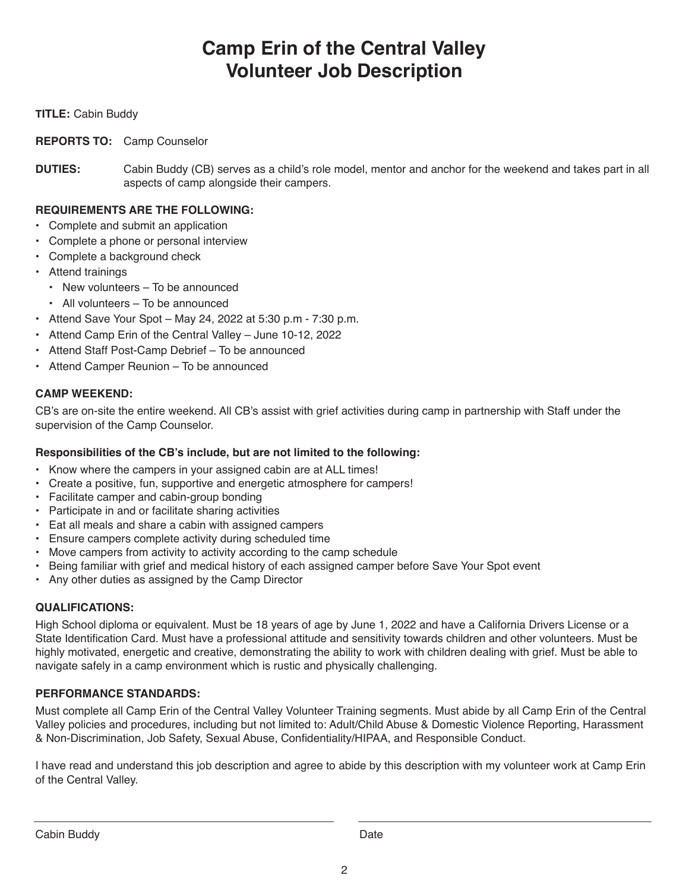# **Camp Erin of the Central Valley Volunteer Job Description**

#### **TITLE:** Cabin Buddy

#### **REPORTS TO:** Camp Counselor

**DUTIES:** Cabin Buddy (CB) serves as a child's role model, mentor and anchor for the weekend and takes part in all aspects of camp alongside their campers.

#### **REQUIREMENTS ARE THE FOLLOWING:**

- Complete and submit an application
- Complete a phone or personal interview
- Complete a background check
- Attend trainings
	- New volunteers To be announced
	- All volunteers To be announced
- Attend Save Your Spot May 24, 2022 at 5:30 p.m 7:30 p.m.
- Attend Camp Erin of the Central Valley June 10-12, 2022
- Attend Staff Post-Camp Debrief To be announced
- Attend Camper Reunion To be announced

#### **CAMP WEEKEND:**

CB's are on-site the entire weekend. All CB's assist with grief activities during camp in partnership with Staff under the supervision of the Camp Counselor.

## **Responsibilities of the CB's include, but are not limited to the following:**

- Know where the campers in your assigned cabin are at ALL times!
- Create a positive, fun, supportive and energetic atmosphere for campers!
- Facilitate camper and cabin-group bonding
- Participate in and or facilitate sharing activities
- Eat all meals and share a cabin with assigned campers
- Ensure campers complete activity during scheduled time
- Move campers from activity to activity according to the camp schedule
- Being familiar with grief and medical history of each assigned camper before Save Your Spot event
- Any other duties as assigned by the Camp Director

#### **QUALIFICATIONS:**

High School diploma or equivalent. Must be 18 years of age by June 1, 2022 and have a California Drivers License or a State Identification Card. Must have a professional attitude and sensitivity towards children and other volunteers. Must be highly motivated, energetic and creative, demonstrating the ability to work with children dealing with grief. Must be able to navigate safely in a camp environment which is rustic and physically challenging.

## **PERFORMANCE STANDARDS:**

Must complete all Camp Erin of the Central Valley Volunteer Training segments. Must abide by all Camp Erin of the Central Valley policies and procedures, including but not limited to: Adult/Child Abuse & Domestic Violence Reporting, Harassment & Non-Discrimination, Job Safety, Sexual Abuse, Confidentiality/HIPAA, and Responsible Conduct.

I have read and understand this job description and agree to abide by this description with my volunteer work at Camp Erin of the Central Valley.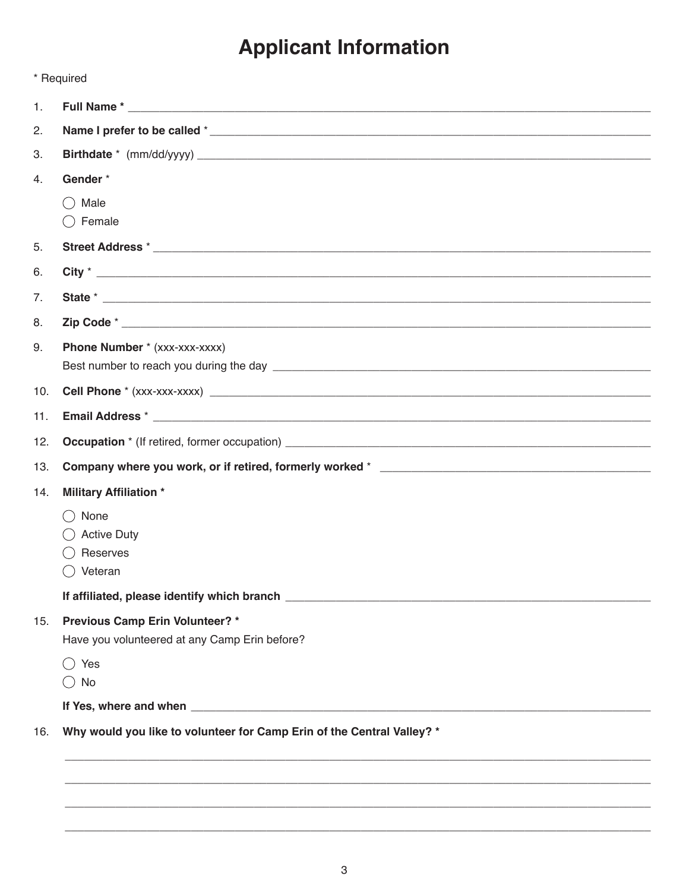# **Applicant Information**

|     | * Required                                                                       |  |
|-----|----------------------------------------------------------------------------------|--|
| 1.  |                                                                                  |  |
| 2.  |                                                                                  |  |
| 3.  |                                                                                  |  |
| 4.  | Gender*                                                                          |  |
|     | Male<br>$($ )<br>$\bigcirc$ Female                                               |  |
| 5.  |                                                                                  |  |
| 6.  |                                                                                  |  |
| 7.  |                                                                                  |  |
| 8.  |                                                                                  |  |
| 9.  | Phone Number * (xxx-xxx-xxxx)                                                    |  |
| 10. |                                                                                  |  |
| 11. |                                                                                  |  |
| 12. |                                                                                  |  |
| 13. |                                                                                  |  |
| 14. | <b>Military Affiliation *</b>                                                    |  |
|     | None<br><b>Active Duty</b><br>Reserves<br>$\bigcirc$ Veteran                     |  |
|     |                                                                                  |  |
| 15. | Previous Camp Erin Volunteer? *<br>Have you volunteered at any Camp Erin before? |  |
|     | () Yes<br>$\bigcirc$ No                                                          |  |
|     |                                                                                  |  |
| 16. | Why would you like to volunteer for Camp Erin of the Central Valley? *           |  |
|     |                                                                                  |  |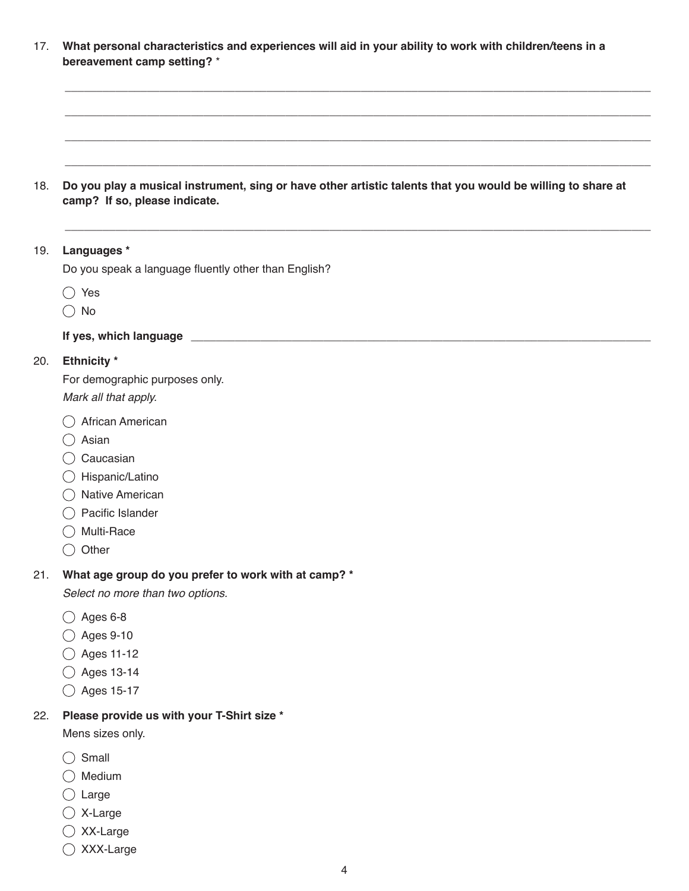17. **What personal characteristics and experiences will aid in your ability to work with children/teens in a bereavement camp setting?** \*

\_\_\_\_\_\_\_\_\_\_\_\_\_\_\_\_\_\_\_\_\_\_\_\_\_\_\_\_\_\_\_\_\_\_\_\_\_\_\_\_\_\_\_\_\_\_\_\_\_\_\_\_\_\_\_\_\_\_\_\_\_\_\_\_\_\_\_\_\_\_\_\_\_\_\_\_\_\_\_\_\_\_\_\_\_\_\_\_\_\_\_\_\_

\_\_\_\_\_\_\_\_\_\_\_\_\_\_\_\_\_\_\_\_\_\_\_\_\_\_\_\_\_\_\_\_\_\_\_\_\_\_\_\_\_\_\_\_\_\_\_\_\_\_\_\_\_\_\_\_\_\_\_\_\_\_\_\_\_\_\_\_\_\_\_\_\_\_\_\_\_\_\_\_\_\_\_\_\_\_\_\_\_\_\_\_\_

\_\_\_\_\_\_\_\_\_\_\_\_\_\_\_\_\_\_\_\_\_\_\_\_\_\_\_\_\_\_\_\_\_\_\_\_\_\_\_\_\_\_\_\_\_\_\_\_\_\_\_\_\_\_\_\_\_\_\_\_\_\_\_\_\_\_\_\_\_\_\_\_\_\_\_\_\_\_\_\_\_\_\_\_\_\_\_\_\_\_\_\_\_

 $\_$  ,  $\_$  ,  $\_$  ,  $\_$  ,  $\_$  ,  $\_$  ,  $\_$  ,  $\_$  ,  $\_$  ,  $\_$  ,  $\_$  ,  $\_$  ,  $\_$  ,  $\_$  ,  $\_$  ,  $\_$  ,  $\_$  ,  $\_$  ,  $\_$  ,  $\_$  ,  $\_$  ,  $\_$  ,  $\_$  ,  $\_$  ,  $\_$  ,  $\_$  ,  $\_$  ,  $\_$  ,  $\_$  ,  $\_$  ,  $\_$  ,  $\_$  ,  $\_$  ,  $\_$  ,  $\_$  ,  $\_$  ,  $\_$  ,

\_\_\_\_\_\_\_\_\_\_\_\_\_\_\_\_\_\_\_\_\_\_\_\_\_\_\_\_\_\_\_\_\_\_\_\_\_\_\_\_\_\_\_\_\_\_\_\_\_\_\_\_\_\_\_\_\_\_\_\_\_\_\_\_\_\_\_\_\_\_\_\_\_\_\_\_\_\_\_\_\_\_\_\_\_\_\_\_\_\_\_\_\_

18. **Do you play a musical instrument, sing or have other artistic talents that you would be willing to share at camp? If so, please indicate.**

#### 19. **Languages \***

Do you speak a language fluently other than English?

◯ Yes

 $\bigcirc$  No

#### **If yes, which language \_\_\_\_\_\_\_\_\_\_\_\_\_\_\_\_\_\_\_\_\_\_\_\_\_\_\_\_\_\_\_\_\_\_\_\_\_\_\_\_\_\_\_\_\_\_\_\_\_\_\_\_\_\_\_\_\_\_\_\_\_\_\_\_\_\_\_\_\_\_\_\_\_**

#### 20. **Ethnicity \***

For demographic purposes only.

*Mark all that apply.*

- African American
- Asian
- O Caucasian
- Hispanic/Latino
- $\bigcap$  Native American
- Pacific Islander
- ◯ Multi-Race
- $\bigcirc$  Other

#### 21. **What age group do you prefer to work with at camp? \***

*Select no more than two options.*

- $\bigcirc$  Ages 6-8
- Ages 9-10
- ◯ Ages 11-12
- ◯ Ages 13-14
- ◯ Ages 15-17

#### 22. **Please provide us with your T-Shirt size \***

Mens sizes only.

- $\bigcirc$  Small
- $\bigcirc$  Medium
- $\bigcirc$  Large
- X-Large
- XX-Large
- XXX-Large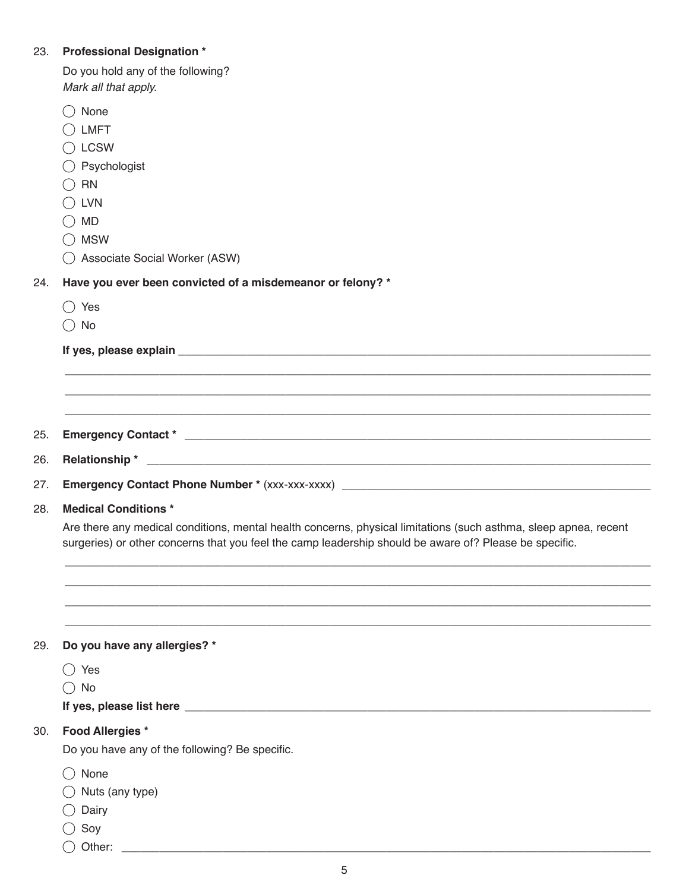# 23. **Professional Designation \***

| Do you hold any of the following? |
|-----------------------------------|
| Mark all that apply.              |

| None                                                                                                                                    |
|-----------------------------------------------------------------------------------------------------------------------------------------|
| <b>LMFT</b>                                                                                                                             |
| <b>LCSW</b>                                                                                                                             |
| Psychologist                                                                                                                            |
| <b>RN</b>                                                                                                                               |
| <b>LVN</b>                                                                                                                              |
| <b>MD</b>                                                                                                                               |
| <b>MSW</b>                                                                                                                              |
| Associate Social Worker (ASW)                                                                                                           |
| Have you ever been convicted of a misdemeanor or felony? *                                                                              |
| Yes<br>( )                                                                                                                              |
| $()$ No                                                                                                                                 |
|                                                                                                                                         |
|                                                                                                                                         |
|                                                                                                                                         |
|                                                                                                                                         |
|                                                                                                                                         |
| Relationship*<br><u> 1989 - Andrea Barbara, amerikana amerikana amerikana amerikana amerikana amerikana amerikana amerikana amerika</u> |
|                                                                                                                                         |
| <b>Medical Conditions*</b>                                                                                                              |
| Are there any medical conditions, mental health concerns, physical limitations (such asthma, sleep apnea, recent                        |
| surgeries) or other concerns that you feel the camp leadership should be aware of? Please be specific.                                  |
|                                                                                                                                         |
| Do you have any allergies? *                                                                                                            |
| $\bigcirc$ Yes                                                                                                                          |
| No<br>(                                                                                                                                 |
|                                                                                                                                         |
| <b>Food Allergies *</b>                                                                                                                 |
| Do you have any of the following? Be specific.                                                                                          |
| None                                                                                                                                    |
| Nuts (any type)                                                                                                                         |
|                                                                                                                                         |
|                                                                                                                                         |
| Dairy<br>Soy                                                                                                                            |